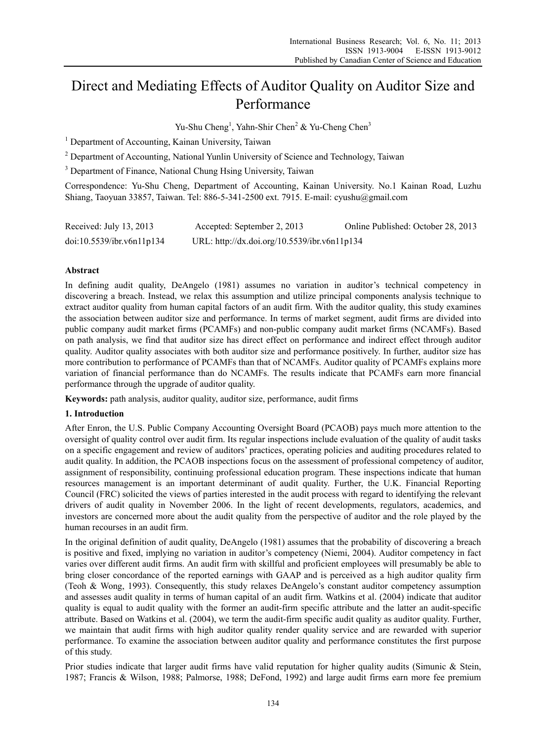# Direct and Mediating Effects of Auditor Quality on Auditor Size and Performance

Yu-Shu Cheng<sup>1</sup>, Yahn-Shir Chen<sup>2</sup> & Yu-Cheng Chen<sup>3</sup>

<sup>1</sup> Department of Accounting, Kainan University, Taiwan

<sup>2</sup> Department of Accounting, National Yunlin University of Science and Technology, Taiwan

<sup>3</sup> Department of Finance, National Chung Hsing University, Taiwan

Correspondence: Yu-Shu Cheng, Department of Accounting, Kainan University. No.1 Kainan Road, Luzhu Shiang, Taoyuan 33857, Taiwan. Tel: 886-5-341-2500 ext. 7915. E-mail: cyushu@gmail.com

| Received: July 13, 2013   | Accepted: September 2, 2013                  | Online Published: October 28, 2013 |
|---------------------------|----------------------------------------------|------------------------------------|
| doi:10.5539/ibr.v6n11p134 | URL: http://dx.doi.org/10.5539/ibr.v6n11p134 |                                    |

# **Abstract**

In defining audit quality, DeAngelo (1981) assumes no variation in auditor's technical competency in discovering a breach. Instead, we relax this assumption and utilize principal components analysis technique to extract auditor quality from human capital factors of an audit firm. With the auditor quality, this study examines the association between auditor size and performance. In terms of market segment, audit firms are divided into public company audit market firms (PCAMFs) and non-public company audit market firms (NCAMFs). Based on path analysis, we find that auditor size has direct effect on performance and indirect effect through auditor quality. Auditor quality associates with both auditor size and performance positively. In further, auditor size has more contribution to performance of PCAMFs than that of NCAMFs. Auditor quality of PCAMFs explains more variation of financial performance than do NCAMFs. The results indicate that PCAMFs earn more financial performance through the upgrade of auditor quality.

**Keywords:** path analysis, auditor quality, auditor size, performance, audit firms

# **1. Introduction**

After Enron, the U.S. Public Company Accounting Oversight Board (PCAOB) pays much more attention to the oversight of quality control over audit firm. Its regular inspections include evaluation of the quality of audit tasks on a specific engagement and review of auditors' practices, operating policies and auditing procedures related to audit quality. In addition, the PCAOB inspections focus on the assessment of professional competency of auditor, assignment of responsibility, continuing professional education program. These inspections indicate that human resources management is an important determinant of audit quality. Further, the U.K. Financial Reporting Council (FRC) solicited the views of parties interested in the audit process with regard to identifying the relevant drivers of audit quality in November 2006. In the light of recent developments, regulators, academics, and investors are concerned more about the audit quality from the perspective of auditor and the role played by the human recourses in an audit firm.

In the original definition of audit quality, DeAngelo (1981) assumes that the probability of discovering a breach is positive and fixed, implying no variation in auditor's competency (Niemi, 2004). Auditor competency in fact varies over different audit firms. An audit firm with skillful and proficient employees will presumably be able to bring closer concordance of the reported earnings with GAAP and is perceived as a high auditor quality firm (Teoh & Wong, 1993). Consequently, this study relaxes DeAngelo's constant auditor competency assumption and assesses audit quality in terms of human capital of an audit firm. Watkins et al. (2004) indicate that auditor quality is equal to audit quality with the former an audit-firm specific attribute and the latter an audit-specific attribute. Based on Watkins et al. (2004), we term the audit-firm specific audit quality as auditor quality. Further, we maintain that audit firms with high auditor quality render quality service and are rewarded with superior performance. To examine the association between auditor quality and performance constitutes the first purpose of this study.

Prior studies indicate that larger audit firms have valid reputation for higher quality audits (Simunic & Stein, 1987; Francis & Wilson, 1988; Palmorse, 1988; DeFond, 1992) and large audit firms earn more fee premium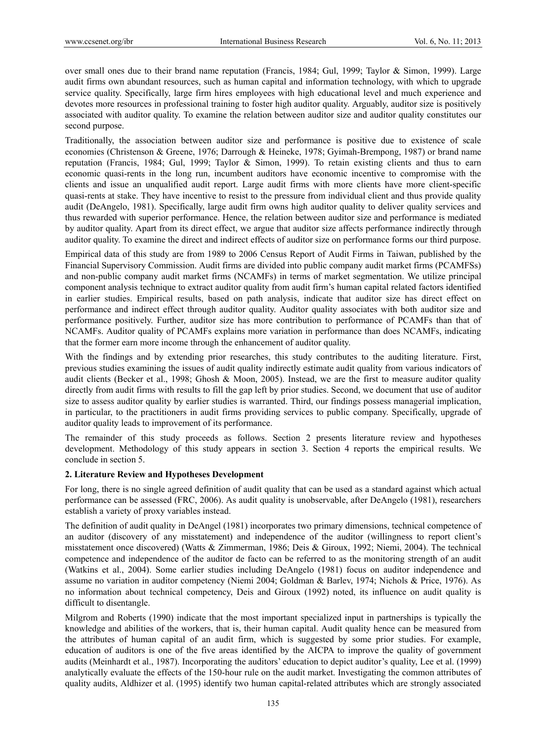over small ones due to their brand name reputation (Francis, 1984; Gul, 1999; Taylor & Simon, 1999). Large audit firms own abundant resources, such as human capital and information technology, with which to upgrade service quality. Specifically, large firm hires employees with high educational level and much experience and devotes more resources in professional training to foster high auditor quality. Arguably, auditor size is positively associated with auditor quality. To examine the relation between auditor size and auditor quality constitutes our second purpose.

Traditionally, the association between auditor size and performance is positive due to existence of scale economies (Christenson & Greene, 1976; Darrough & Heineke, 1978; Gyimah-Brempong, 1987) or brand name reputation (Francis, 1984; Gul, 1999; Taylor & Simon, 1999). To retain existing clients and thus to earn economic quasi-rents in the long run, incumbent auditors have economic incentive to compromise with the clients and issue an unqualified audit report. Large audit firms with more clients have more client-specific quasi-rents at stake. They have incentive to resist to the pressure from individual client and thus provide quality audit (DeAngelo, 1981). Specifically, large audit firm owns high auditor quality to deliver quality services and thus rewarded with superior performance. Hence, the relation between auditor size and performance is mediated by auditor quality. Apart from its direct effect, we argue that auditor size affects performance indirectly through auditor quality. To examine the direct and indirect effects of auditor size on performance forms our third purpose.

Empirical data of this study are from 1989 to 2006 Census Report of Audit Firms in Taiwan, published by the Financial Supervisory Commission. Audit firms are divided into public company audit market firms (PCAMFSs) and non-public company audit market firms (NCAMFs) in terms of market segmentation. We utilize principal component analysis technique to extract auditor quality from audit firm's human capital related factors identified in earlier studies. Empirical results, based on path analysis, indicate that auditor size has direct effect on performance and indirect effect through auditor quality. Auditor quality associates with both auditor size and performance positively. Further, auditor size has more contribution to performance of PCAMFs than that of NCAMFs. Auditor quality of PCAMFs explains more variation in performance than does NCAMFs, indicating that the former earn more income through the enhancement of auditor quality.

With the findings and by extending prior researches, this study contributes to the auditing literature. First, previous studies examining the issues of audit quality indirectly estimate audit quality from various indicators of audit clients (Becker et al., 1998; Ghosh & Moon, 2005). Instead, we are the first to measure auditor quality directly from audit firms with results to fill the gap left by prior studies. Second, we document that use of auditor size to assess auditor quality by earlier studies is warranted. Third, our findings possess managerial implication, in particular, to the practitioners in audit firms providing services to public company. Specifically, upgrade of auditor quality leads to improvement of its performance.

The remainder of this study proceeds as follows. Section 2 presents literature review and hypotheses development. Methodology of this study appears in section 3. Section 4 reports the empirical results. We conclude in section 5.

#### **2. Literature Review and Hypotheses Development**

For long, there is no single agreed definition of audit quality that can be used as a standard against which actual performance can be assessed (FRC, 2006). As audit quality is unobservable, after DeAngelo (1981), researchers establish a variety of proxy variables instead.

The definition of audit quality in DeAngel (1981) incorporates two primary dimensions, technical competence of an auditor (discovery of any misstatement) and independence of the auditor (willingness to report client's misstatement once discovered) (Watts & Zimmerman, 1986; Deis & Giroux, 1992; Niemi, 2004). The technical competence and independence of the auditor de facto can be referred to as the monitoring strength of an audit (Watkins et al., 2004). Some earlier studies including DeAngelo (1981) focus on auditor independence and assume no variation in auditor competency (Niemi 2004; Goldman & Barlev, 1974; Nichols & Price, 1976). As no information about technical competency, Deis and Giroux (1992) noted, its influence on audit quality is difficult to disentangle.

Milgrom and Roberts (1990) indicate that the most important specialized input in partnerships is typically the knowledge and abilities of the workers, that is, their human capital. Audit quality hence can be measured from the attributes of human capital of an audit firm, which is suggested by some prior studies. For example, education of auditors is one of the five areas identified by the AICPA to improve the quality of government audits (Meinhardt et al., 1987). Incorporating the auditors' education to depict auditor's quality, Lee et al. (1999) analytically evaluate the effects of the 150-hour rule on the audit market. Investigating the common attributes of quality audits, Aldhizer et al. (1995) identify two human capital-related attributes which are strongly associated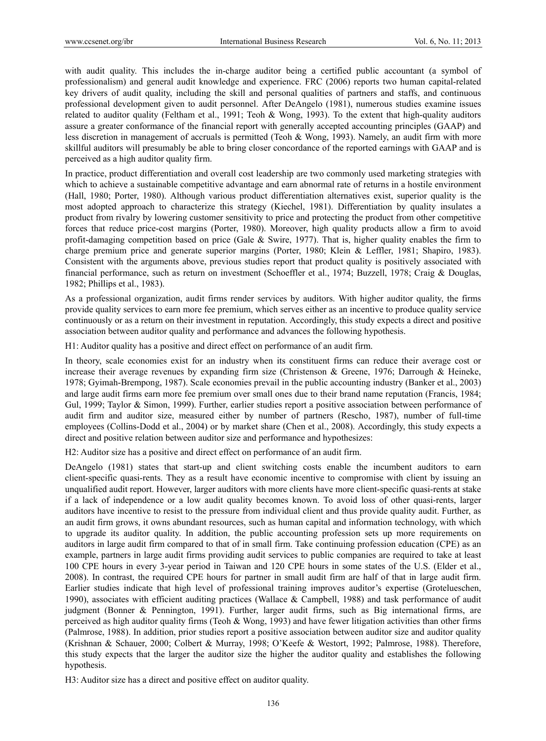with audit quality. This includes the in-charge auditor being a certified public accountant (a symbol of professionalism) and general audit knowledge and experience. FRC (2006) reports two human capital-related key drivers of audit quality, including the skill and personal qualities of partners and staffs, and continuous professional development given to audit personnel. After DeAngelo (1981), numerous studies examine issues related to auditor quality (Feltham et al., 1991; Teoh & Wong, 1993). To the extent that high-quality auditors assure a greater conformance of the financial report with generally accepted accounting principles (GAAP) and less discretion in management of accruals is permitted (Teoh & Wong, 1993). Namely, an audit firm with more skillful auditors will presumably be able to bring closer concordance of the reported earnings with GAAP and is perceived as a high auditor quality firm.

In practice, product differentiation and overall cost leadership are two commonly used marketing strategies with which to achieve a sustainable competitive advantage and earn abnormal rate of returns in a hostile environment (Hall, 1980; Porter, 1980). Although various product differentiation alternatives exist, superior quality is the most adopted approach to characterize this strategy (Kiechel, 1981). Differentiation by quality insulates a product from rivalry by lowering customer sensitivity to price and protecting the product from other competitive forces that reduce price-cost margins (Porter, 1980). Moreover, high quality products allow a firm to avoid profit-damaging competition based on price (Gale & Swire, 1977). That is, higher quality enables the firm to charge premium price and generate superior margins (Porter, 1980; Klein & Leffler, 1981; Shapiro, 1983). Consistent with the arguments above, previous studies report that product quality is positively associated with financial performance, such as return on investment (Schoeffler et al., 1974; Buzzell, 1978; Craig & Douglas, 1982; Phillips et al., 1983).

As a professional organization, audit firms render services by auditors. With higher auditor quality, the firms provide quality services to earn more fee premium, which serves either as an incentive to produce quality service continuously or as a return on their investment in reputation. Accordingly, this study expects a direct and positive association between auditor quality and performance and advances the following hypothesis.

H1: Auditor quality has a positive and direct effect on performance of an audit firm.

In theory, scale economies exist for an industry when its constituent firms can reduce their average cost or increase their average revenues by expanding firm size (Christenson & Greene, 1976; Darrough & Heineke, 1978; Gyimah-Brempong, 1987). Scale economies prevail in the public accounting industry (Banker et al., 2003) and large audit firms earn more fee premium over small ones due to their brand name reputation (Francis, 1984; Gul, 1999; Taylor & Simon, 1999). Further, earlier studies report a positive association between performance of audit firm and auditor size, measured either by number of partners (Rescho, 1987), number of full-time employees (Collins-Dodd et al., 2004) or by market share (Chen et al., 2008). Accordingly, this study expects a direct and positive relation between auditor size and performance and hypothesizes:

H2: Auditor size has a positive and direct effect on performance of an audit firm.

DeAngelo (1981) states that start-up and client switching costs enable the incumbent auditors to earn client-specific quasi-rents. They as a result have economic incentive to compromise with client by issuing an unqualified audit report. However, larger auditors with more clients have more client-specific quasi-rents at stake if a lack of independence or a low audit quality becomes known. To avoid loss of other quasi-rents, larger auditors have incentive to resist to the pressure from individual client and thus provide quality audit. Further, as an audit firm grows, it owns abundant resources, such as human capital and information technology, with which to upgrade its auditor quality. In addition, the public accounting profession sets up more requirements on auditors in large audit firm compared to that of in small firm. Take continuing profession education (CPE) as an example, partners in large audit firms providing audit services to public companies are required to take at least 100 CPE hours in every 3-year period in Taiwan and 120 CPE hours in some states of the U.S. (Elder et al., 2008). In contrast, the required CPE hours for partner in small audit firm are half of that in large audit firm. Earlier studies indicate that high level of professional training improves auditor's expertise (Grotelueschen, 1990), associates with efficient auditing practices (Wallace & Campbell, 1988) and task performance of audit judgment (Bonner & Pennington, 1991). Further, larger audit firms, such as Big international firms, are perceived as high auditor quality firms (Teoh & Wong, 1993) and have fewer litigation activities than other firms (Palmrose, 1988). In addition, prior studies report a positive association between auditor size and auditor quality (Krishnan & Schauer, 2000; Colbert & Murray, 1998; O'Keefe & Westort, 1992; Palmrose, 1988). Therefore, this study expects that the larger the auditor size the higher the auditor quality and establishes the following hypothesis.

H3: Auditor size has a direct and positive effect on auditor quality.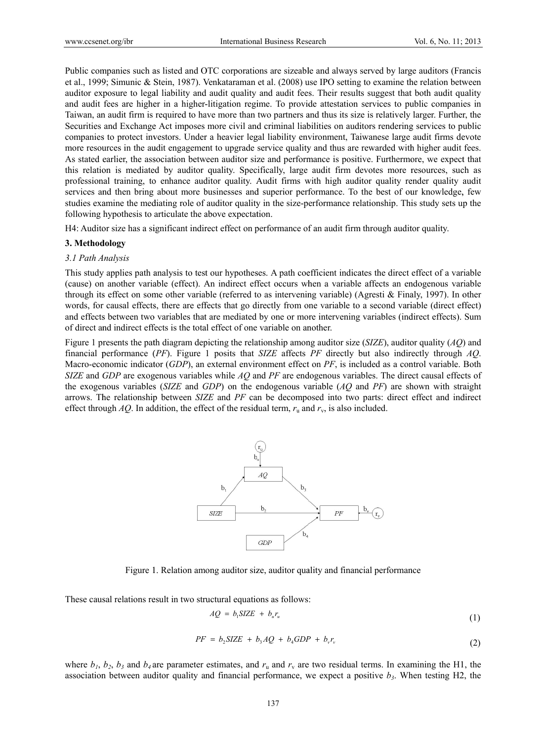Public companies such as listed and OTC corporations are sizeable and always served by large auditors (Francis et al., 1999; Simunic & Stein, 1987). Venkataraman et al. (2008) use IPO setting to examine the relation between auditor exposure to legal liability and audit quality and audit fees. Their results suggest that both audit quality and audit fees are higher in a higher-litigation regime. To provide attestation services to public companies in Taiwan, an audit firm is required to have more than two partners and thus its size is relatively larger. Further, the Securities and Exchange Act imposes more civil and criminal liabilities on auditors rendering services to public companies to protect investors. Under a heavier legal liability environment, Taiwanese large audit firms devote more resources in the audit engagement to upgrade service quality and thus are rewarded with higher audit fees. As stated earlier, the association between auditor size and performance is positive. Furthermore, we expect that this relation is mediated by auditor quality. Specifically, large audit firm devotes more resources, such as professional training, to enhance auditor quality. Audit firms with high auditor quality render quality audit services and then bring about more businesses and superior performance. To the best of our knowledge, few studies examine the mediating role of auditor quality in the size-performance relationship. This study sets up the following hypothesis to articulate the above expectation.

H4: Auditor size has a significant indirect effect on performance of an audit firm through auditor quality.

#### **3. Method dology**

#### *3.1 Path A Analysis*

This study applies path analysis to test our hypotheses. A path coefficient indicates the direct effect of a variable (cause) on another variable (effect). An indirect effect occurs when a variable affects an endogenous variable through its effect on some other variable (referred to as intervening variable) (Agresti & Finaly, 1997). In other words, for causal effects, there are effects that go directly from one variable to a second variable (direct effect) and effects between two variables that are mediated by one or more intervening variables (indirect effects). Sum of direct and indirect effects is the total effect of one variable on another.

Figure 1 presents the path diagram depicting the relationship among auditor size (*SIZE*), auditor quality (*AQ*) and financial p performance ( *PF*). Figure 1 posits that *SIZE* affects *PF* directly b but also indir rectly through *AQ*. Macro-economic indicator (*GDP*), an external environment effect on *PF*, is included as a control variable. Both  $SIZE$  and *GDP* are exogenous variables while *AQ* and *PF* are endogenous variables. The direct causal effects of the exogenous variables (*SIZE* and *GDP*) on the endogenous variable ( $AQ$  and  $PF$ ) are shown with straight arrows. The relationship between *SIZE* and *PF* can be decomposed into two parts: direct effect and indirect effect through  $AQ$ . In addition, the effect of the residual term,  $r_u$  and  $r_v$ , is also included.



Figure 1. Relation among auditor size, auditor quality and financial performance

These causal relations result in two structural equations as follows:

$$
AQ = b_1 SIZE + b_u r_u \tag{1}
$$

$$
PF = b_2 SIZE + b_3 AQ + b_4 GDP + b_v r_v \tag{2}
$$

where  $b_1$ ,  $b_2$ ,  $b_3$  and  $b_4$  are parameter estimates, and  $r_u$  and  $r_v$  are two residual terms. In examining the H1, the association between auditor quality and financial performance, we expect a positive  $b_3$ . When testing H2, the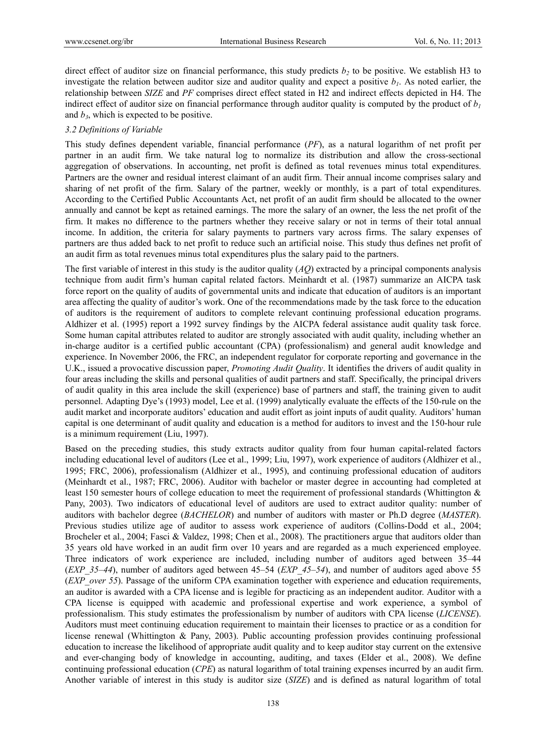direct effect of auditor size on financial performance, this study predicts  $b_2$  to be positive. We establish H3 to investigate the relation between auditor size and auditor quality and expect a positive *b1*. As noted earlier, the relationship between *SIZE* and *PF* comprises direct effect stated in H2 and indirect effects depicted in H4. The indirect effect of auditor size on financial performance through auditor quality is computed by the product of  $b_1$ and  $b_3$ , which is expected to be positive.

# *3.2 Definitions of Variable*

This study defines dependent variable, financial performance (*PF*), as a natural logarithm of net profit per partner in an audit firm. We take natural log to normalize its distribution and allow the cross-sectional aggregation of observations. In accounting, net profit is defined as total revenues minus total expenditures. Partners are the owner and residual interest claimant of an audit firm. Their annual income comprises salary and sharing of net profit of the firm. Salary of the partner, weekly or monthly, is a part of total expenditures. According to the Certified Public Accountants Act, net profit of an audit firm should be allocated to the owner annually and cannot be kept as retained earnings. The more the salary of an owner, the less the net profit of the firm. It makes no difference to the partners whether they receive salary or not in terms of their total annual income. In addition, the criteria for salary payments to partners vary across firms. The salary expenses of partners are thus added back to net profit to reduce such an artificial noise. This study thus defines net profit of an audit firm as total revenues minus total expenditures plus the salary paid to the partners.

The first variable of interest in this study is the auditor quality (*AQ*) extracted by a principal components analysis technique from audit firm's human capital related factors. Meinhardt et al. (1987) summarize an AICPA task force report on the quality of audits of governmental units and indicate that education of auditors is an important area affecting the quality of auditor's work. One of the recommendations made by the task force to the education of auditors is the requirement of auditors to complete relevant continuing professional education programs. Aldhizer et al. (1995) report a 1992 survey findings by the AICPA federal assistance audit quality task force. Some human capital attributes related to auditor are strongly associated with audit quality, including whether an in-charge auditor is a certified public accountant (CPA) (professionalism) and general audit knowledge and experience. In November 2006, the FRC, an independent regulator for corporate reporting and governance in the U.K., issued a provocative discussion paper, *Promoting Audit Quality*. It identifies the drivers of audit quality in four areas including the skills and personal qualities of audit partners and staff. Specifically, the principal drivers of audit quality in this area include the skill (experience) base of partners and staff, the training given to audit personnel. Adapting Dye's (1993) model, Lee et al. (1999) analytically evaluate the effects of the 150-rule on the audit market and incorporate auditors' education and audit effort as joint inputs of audit quality. Auditors' human capital is one determinant of audit quality and education is a method for auditors to invest and the 150-hour rule is a minimum requirement (Liu, 1997).

Based on the preceding studies, this study extracts auditor quality from four human capital-related factors including educational level of auditors (Lee et al., 1999; Liu, 1997), work experience of auditors (Aldhizer et al., 1995; FRC, 2006), professionalism (Aldhizer et al., 1995), and continuing professional education of auditors (Meinhardt et al., 1987; FRC, 2006). Auditor with bachelor or master degree in accounting had completed at least 150 semester hours of college education to meet the requirement of professional standards (Whittington & Pany, 2003). Two indicators of educational level of auditors are used to extract auditor quality: number of auditors with bachelor degree (*BACHELOR*) and number of auditors with master or Ph.D degree (*MASTER*). Previous studies utilize age of auditor to assess work experience of auditors (Collins-Dodd et al., 2004; Brocheler et al., 2004; Fasci & Valdez, 1998; Chen et al., 2008). The practitioners argue that auditors older than 35 years old have worked in an audit firm over 10 years and are regarded as a much experienced employee. Three indicators of work experience are included, including number of auditors aged between 35–44 (*EXP\_35–44*), number of auditors aged between 45–54 (*EXP\_45–54*), and number of auditors aged above 55 (*EXP\_over 55*). Passage of the uniform CPA examination together with experience and education requirements, an auditor is awarded with a CPA license and is legible for practicing as an independent auditor. Auditor with a CPA license is equipped with academic and professional expertise and work experience, a symbol of professionalism. This study estimates the professionalism by number of auditors with CPA license (*LICENSE*). Auditors must meet continuing education requirement to maintain their licenses to practice or as a condition for license renewal (Whittington & Pany, 2003). Public accounting profession provides continuing professional education to increase the likelihood of appropriate audit quality and to keep auditor stay current on the extensive and ever-changing body of knowledge in accounting, auditing, and taxes (Elder et al., 2008). We define continuing professional education (*CPE*) as natural logarithm of total training expenses incurred by an audit firm. Another variable of interest in this study is auditor size (*SIZE*) and is defined as natural logarithm of total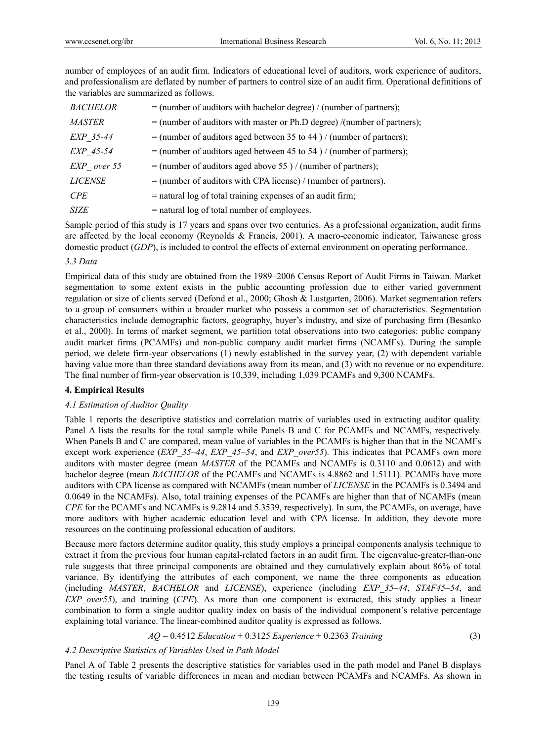number of employees of an audit firm. Indicators of educational level of auditors, work experience of auditors, and professionalism are deflated by number of partners to control size of an audit firm. Operational definitions of the variables are summarized as follows.

| <b>BACHELOR</b> | $=$ (number of auditors with bachelor degree) / (number of partners);      |
|-----------------|----------------------------------------------------------------------------|
| <i>MASTER</i>   | $=$ (number of auditors with master or Ph.D degree) /(number of partners); |
| EXP 35-44       | $=$ (number of auditors aged between 35 to 44) / (number of partners);     |
| EXP 45-54       | $=$ (number of auditors aged between 45 to 54)/(number of partners);       |
| EXP over 55     | $=$ (number of auditors aged above 55) / (number of partners);             |
| <b>LICENSE</b>  | $=$ (number of auditors with CPA license) / (number of partners).          |
| CPE             | $=$ natural log of total training expenses of an audit firm;               |
| SIZE            | = natural log of total number of employees.                                |

Sample period of this study is 17 years and spans over two centuries. As a professional organization, audit firms are affected by the local economy (Reynolds & Francis, 2001). A macro-economic indicator, Taiwanese gross domestic product (*GDP*), is included to control the effects of external environment on operating performance.

#### *3.3 Data*

Empirical data of this study are obtained from the 1989–2006 Census Report of Audit Firms in Taiwan. Market segmentation to some extent exists in the public accounting profession due to either varied government regulation or size of clients served (Defond et al., 2000; Ghosh & Lustgarten, 2006). Market segmentation refers to a group of consumers within a broader market who possess a common set of characteristics. Segmentation characteristics include demographic factors, geography, buyer's industry, and size of purchasing firm (Besanko et al., 2000). In terms of market segment, we partition total observations into two categories: public company audit market firms (PCAMFs) and non-public company audit market firms (NCAMFs). During the sample period, we delete firm-year observations (1) newly established in the survey year, (2) with dependent variable having value more than three standard deviations away from its mean, and (3) with no revenue or no expenditure. The final number of firm-year observation is 10,339, including 1,039 PCAMFs and 9,300 NCAMFs.

#### **4. Empirical Results**

#### *4.1 Estimation of Auditor Quality*

Table 1 reports the descriptive statistics and correlation matrix of variables used in extracting auditor quality. Panel A lists the results for the total sample while Panels B and C for PCAMFs and NCAMFs, respectively. When Panels B and C are compared, mean value of variables in the PCAMFs is higher than that in the NCAMFs except work experience (*EXP\_35–44*, *EXP\_45–54*, and *EXP\_over55*). This indicates that PCAMFs own more auditors with master degree (mean *MASTER* of the PCAMFs and NCAMFs is 0.3110 and 0.0612) and with bachelor degree (mean *BACHELOR* of the PCAMFs and NCAMFs is 4.8862 and 1.5111). PCAMFs have more auditors with CPA license as compared with NCAMFs (mean number of *LICENSE* in the PCAMFs is 0.3494 and 0.0649 in the NCAMFs). Also, total training expenses of the PCAMFs are higher than that of NCAMFs (mean *CPE* for the PCAMFs and NCAMFs is 9.2814 and 5.3539, respectively). In sum, the PCAMFs, on average, have more auditors with higher academic education level and with CPA license. In addition, they devote more resources on the continuing professional education of auditors.

Because more factors determine auditor quality, this study employs a principal components analysis technique to extract it from the previous four human capital-related factors in an audit firm. The eigenvalue-greater-than-one rule suggests that three principal components are obtained and they cumulatively explain about 86% of total variance. By identifying the attributes of each component, we name the three components as education (including *MASTER*, *BACHELOR* and *LICENSE*), experience (including *EXP\_35–44*, *STAF45–54*, and *EXP\_over55*), and training (*CPE*). As more than one component is extracted, this study applies a linear combination to form a single auditor quality index on basis of the individual component's relative percentage explaining total variance. The linear-combined auditor quality is expressed as follows.

$$
AQ = 0.4512 \; Education + 0.3125 \; Experience + 0.2363 \; Training \tag{3}
$$

#### *4.2 Descriptive Statistics of Variables Used in Path Model*

Panel A of Table 2 presents the descriptive statistics for variables used in the path model and Panel B displays the testing results of variable differences in mean and median between PCAMFs and NCAMFs. As shown in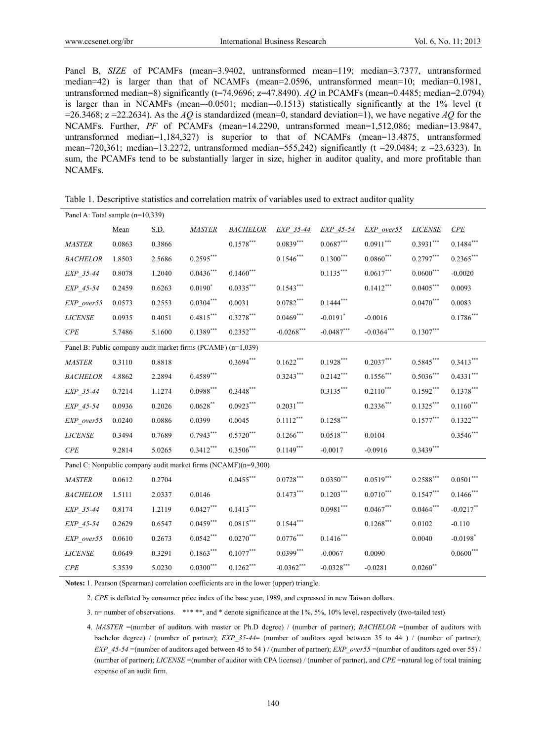Panel B, *SIZE* of PCAMFs (mean=3.9402, untransformed mean=119; median=3.7377, untransformed median=42) is larger than that of NCAMFs (mean=2.0596, untransformed mean=10; median=0.1981, untransformed median=8) significantly (t=74.9696; z=47.8490). *AQ* in PCAMFs (mean=0.4485; median=2.0794) is larger than in NCAMFs (mean=-0.0501; median=-0.1513) statistically significantly at the 1% level (t =26.3468;  $z = 22.2634$ ). As the *AQ* is standardized (mean=0, standard deviation=1), we have negative *AQ* for the NCAMFs. Further, *PF* of PCAMFs (mean=14.2290, untransformed mean=1,512,086; median=13.9847, untransformed median=1,184,327) is superior to that of NCAMFs (mean=13.4875, untransformed mean=720,361; median=13.2272, untransformed median=555,242) significantly (t =29.0484;  $z$  =23.6323). In sum, the PCAMFs tend to be substantially larger in size, higher in auditor quality, and more profitable than NCAMFs.

| Panel A: Total sample (n=10,339)                             |        |        |                  |                                                                |                   |                         |                |                |                        |  |
|--------------------------------------------------------------|--------|--------|------------------|----------------------------------------------------------------|-------------------|-------------------------|----------------|----------------|------------------------|--|
|                                                              | Mean   | S.D.   | <b>MASTER</b>    | <b>BACHELOR</b>                                                | EXP 35-44         | EXP 45-54               | EXP over55     | <b>LICENSE</b> | CPE                    |  |
| <b>MASTER</b>                                                | 0.0863 | 0.3866 |                  | $0.1578***$                                                    | $0.0839***$       | $0.0687^{\ast\ast\ast}$ | $0.0911***$    | $0.3931***$    | $0.1484***$            |  |
| <b>BACHELOR</b>                                              | 1.8503 | 2.5686 | $0.2595***$      |                                                                | $0.1546***$       | $0.1300^{***}$          | $0.0860***$    | $0.2797***$    | $0.2365***$            |  |
| EXP 35-44                                                    | 0.8078 | 1.2040 | $0.0436^{***}$   | $0.1460***$                                                    |                   | $0.1135***$             | $0.0617^{***}$ | $0.0600^{***}$ | $-0.0020$              |  |
| EXP_45-54                                                    | 0.2459 | 0.6263 | $0.0190^*$       | $0.0335***$                                                    | $0.1543^{***}$    |                         | $0.1412***$    | $0.0405***$    | 0.0093                 |  |
| EXP_over55                                                   | 0.0573 | 0.2553 | $0.0304^{***}\,$ | 0.0031                                                         | $0.0782***$       | $0.1444***$             |                | $0.0470***$    | 0.0083                 |  |
| <b>LICENSE</b>                                               | 0.0935 | 0.4051 | $0.4815***$      | $0.3278***$                                                    | $0.0469***$       | $-0.0191$ <sup>*</sup>  | $-0.0016$      |                | $0.1786***$            |  |
| CPE                                                          | 5.7486 | 5.1600 | $0.1389***$      | $0.2352***$                                                    | $-0.0268^{***}\,$ | $-0.0487^{***}\,$       | $-0.0364***$   | $0.1307^{***}$ |                        |  |
| Panel B: Public company audit market firms (PCAMF) (n=1,039) |        |        |                  |                                                                |                   |                         |                |                |                        |  |
| <b>MASTER</b>                                                | 0.3110 | 0.8818 |                  | $0.3694***$                                                    | $0.1622***$       | $0.1928***$             | $0.2037***$    | $0.5845***$    | $0.3413***$            |  |
| <b>BACHELOR</b>                                              | 4.8862 | 2.2894 | $0.4589***$      |                                                                | $0.3243***$       | $0.2142***$             | $0.1556***$    | $0.5036***$    | $0.4331***$            |  |
| EXP 35-44                                                    | 0.7214 | 1.1274 | $0.0988***$      | $0.3448***$                                                    |                   | $0.3135***$             | $0.2110***$    | $0.1592***$    | $0.1378***$            |  |
| EXP_45-54                                                    | 0.0936 | 0.2026 | $0.0628$ **      | $0.0923***$                                                    | $0.2031***$       |                         | $0.2336***$    | $0.1325***$    | $0.1160^{***}$         |  |
| EXP over55                                                   | 0.0240 | 0.0886 | 0.0399           | 0.0045                                                         | $0.1112***$       | $0.1258***$             |                | $0.1577***$    | $0.1322***$            |  |
| <b>LICENSE</b>                                               | 0.3494 | 0.7689 | $0.7943***$      | $0.5720***$                                                    | $0.1266***$       | $0.0518***$             | 0.0104         |                | $0.3546***$            |  |
| CPE                                                          | 9.2814 | 5.0265 | $0.3412***$      | $0.3506***$                                                    | $0.1149***$       | $-0.0017$               | $-0.0916$      | $0.3439***$    |                        |  |
|                                                              |        |        |                  | Panel C: Nonpublic company audit market firms (NCAMF)(n=9,300) |                   |                         |                |                |                        |  |
| <b>MASTER</b>                                                | 0.0612 | 0.2704 |                  | $0.0455***$                                                    | $0.0728***$       | $0.0350***$             | $0.0519***$    | $0.2588***$    | $0.0501***$            |  |
| <b>BACHELOR</b>                                              | 1.5111 | 2.0337 | 0.0146           |                                                                | $0.1473***$       | $0.1203***$             | $0.0710***$    | $0.1547***$    | $0.1466$ ***           |  |
| EXP 35-44                                                    | 0.8174 | 1.2119 | $0.0427***$      | $0.1413***$                                                    |                   | $0.0981***$             | $0.0467***$    | $0.0464***$    | $-0.0217**$            |  |
| EXP 45-54                                                    | 0.2629 | 0.6547 | $0.0459^{***}$   | $0.0815^{***}$                                                 | $0.1544***$       |                         | $0.1268***$    | 0.0102         | $-0.110$               |  |
| EXP over55                                                   | 0.0610 | 0.2673 | $0.0542^{***}$   | $0.0270***$                                                    | $0.0776***$       | $0.1416***$             |                | 0.0040         | $-0.0198$ <sup>*</sup> |  |
| <b>LICENSE</b>                                               | 0.0649 | 0.3291 | $0.1863***$      | $0.1077***$                                                    | $0.0399***$       | $-0.0067$               | 0.0090         |                | $0.0600^{***}$         |  |
| CPE                                                          | 5.3539 | 5.0230 | $0.0300^{***}$   | $0.1262***$                                                    | $-0.0362***$      | $-0.0328***$            | $-0.0281$      | $0.0260$ **    |                        |  |

Table 1. Descriptive statistics and correlation matrix of variables used to extract auditor quality

**Notes:** 1. Pearson (Spearman) correlation coefficients are in the lower (upper) triangle.

2. *CPE* is deflated by consumer price index of the base year, 1989, and expressed in new Taiwan dollars.

3. n= number of observations. \*\*\* \*\*, and \* denote significance at the 1%, 5%, 10% level, respectively (two-tailed test)

4. *MASTER* =(number of auditors with master or Ph.D degree) / (number of partner); *BACHELOR* =(number of auditors with bachelor degree) / (number of partner); *EXP\_35-44*= (number of auditors aged between 35 to 44 ) / (number of partner); *EXP\_45-54* =(number of auditors aged between 45 to 54 ) / (number of partner); *EXP\_over55* =(number of auditors aged over 55) / (number of partner); *LICENSE* =(number of auditor with CPA license) / (number of partner), and *CPE* =natural log of total training expense of an audit firm.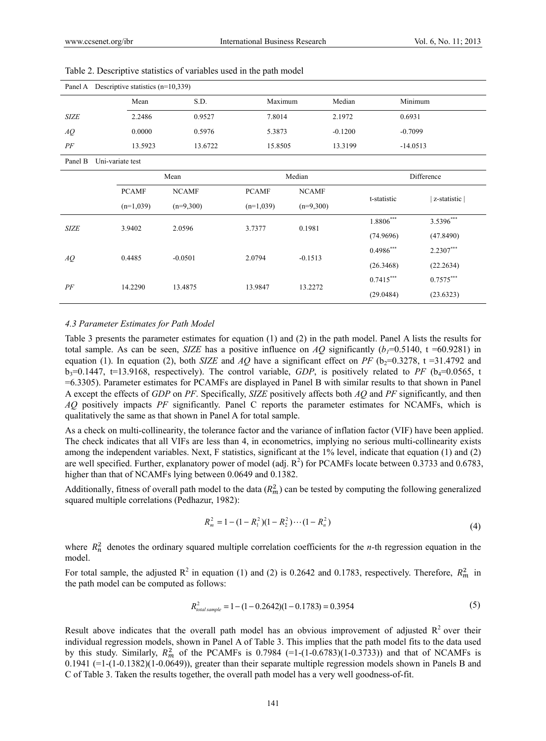2.2307\*\*\* (22.2634)

 $0.7575***$ (23.6323)

| Panel A<br>Descriptive statistics $(n=10,339)$ |                  |              |              |              |             |             |  |  |
|------------------------------------------------|------------------|--------------|--------------|--------------|-------------|-------------|--|--|
|                                                | Mean             | S.D.         | Maximum      | Median       |             | Minimum     |  |  |
| <b>SIZE</b>                                    | 2.2486           | 0.9527       | 7.8014       | 2.1972       |             | 0.6931      |  |  |
| AQ                                             | 0.0000           | 0.5976       | 5.3873       | $-0.1200$    |             | $-0.7099$   |  |  |
| PF                                             | 13.5923          | 13.6722      | 15.8505      | 13.3199      |             | $-14.0513$  |  |  |
| Panel B                                        | Uni-variate test |              |              |              |             |             |  |  |
|                                                |                  | Mean         |              | Median       |             | Difference  |  |  |
|                                                | <b>PCAMF</b>     | <b>NCAMF</b> | <b>PCAMF</b> | <b>NCAMF</b> | t-statistic | z-statistic |  |  |
|                                                | $(n=1,039)$      | $(n=9,300)$  | $(n=1,039)$  | $(n=9,300)$  |             |             |  |  |
| <b>SIZE</b>                                    | 3.9402           | 2.0596       | 3.7377       | 0.1981       | 1.8806***   | 3.5396***   |  |  |
|                                                |                  |              |              |              | (74.9696)   | (47.8490)   |  |  |

Table 2. Descriptive statistics of variables used in the path model

*AQ* 0.4485 -0.0501 2.0794 -0.1513

*PF* 14.2290 13.4875 13.9847 13.2272

#### *4.3 Parameter Estimates for Path Model*

Table 3 presents the parameter estimates for equation (1) and (2) in the path model. Panel A lists the results for total sample. As can be seen, *SIZE* has a positive influence on *AQ* significantly  $(b_7=0.5140, t = 60.9281)$  in equation (1). In equation (2), both *SIZE* and *AO* have a significant effect on *PF* (b<sub>2</sub>=0.3278, t =31.4792 and  $b_3=0.1447$ , t=13.9168, respectively). The control variable, *GDP*, is positively related to *PF*  $(b_4=0.0565, t)$ =6.3305). Parameter estimates for PCAMFs are displayed in Panel B with similar results to that shown in Panel A except the effects of *GDP* on *PF*. Specifically, *SIZE* positively affects both *AQ* and *PF* significantly, and then *AQ* positively impacts *PF* significantly. Panel C reports the parameter estimates for NCAMFs, which is qualitatively the same as that shown in Panel A for total sample.

As a check on multi-collinearity, the tolerance factor and the variance of inflation factor (VIF) have been applied. The check indicates that all VIFs are less than 4, in econometrics, implying no serious multi-collinearity exists among the independent variables. Next, F statistics, significant at the 1% level, indicate that equation (1) and (2) are well specified. Further, explanatory power of model (adj.  $R^2$ ) for PCAMFs locate between 0.3733 and 0.6783, higher than that of NCAMFs lying between 0.0649 and 0.1382.

Additionally, fitness of overall path model to the data  $(R_m^2)$  can be tested by computing the following generalized squared multiple correlations (Pedhazur, 1982):

$$
R_m^2 = 1 - (1 - R_1^2)(1 - R_2^2) \cdots (1 - R_n^2)
$$
\n(4)

0.4986\*\*\* (26.3468)

 $0.7415***$ (29.0484)

where  $R_n^2$  denotes the ordinary squared multiple correlation coefficients for the *n*-th regression equation in the model.

For total sample, the adjusted  $R^2$  in equation (1) and (2) is 0.2642 and 0.1783, respectively. Therefore,  $R_m^2$  in the path model can be computed as follows:

$$
R_{\text{total sample}}^2 = 1 - (1 - 0.2642)(1 - 0.1783) = 0.3954\tag{5}
$$

Result above indicates that the overall path model has an obvious improvement of adjusted  $R<sup>2</sup>$  over their individual regression models, shown in Panel A of Table 3. This implies that the path model fits to the data used by this study. Similarly,  $R_m^2$  of the PCAMFs is 0.7984 (=1-(1-0.6783)(1-0.3733)) and that of NCAMFs is 0.1941 (=1-(1-0.1382)(1-0.0649)), greater than their separate multiple regression models shown in Panels B and C of Table 3. Taken the results together, the overall path model has a very well goodness-of-fit.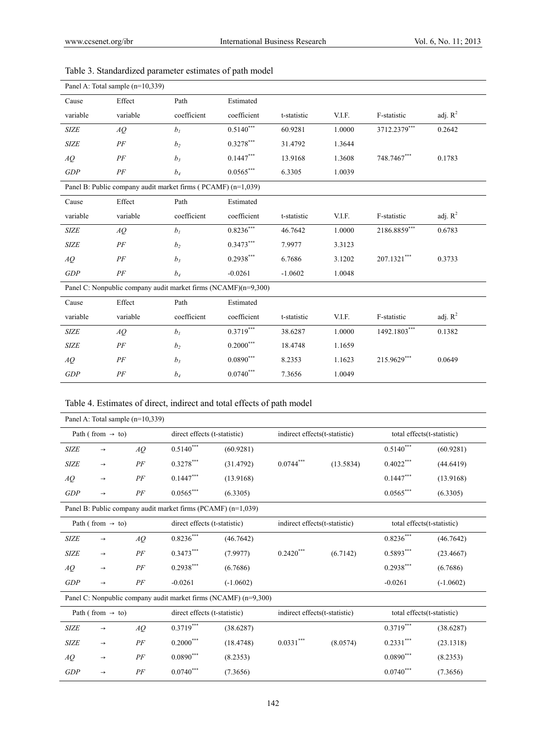|             | Panel A: Total sample (n=10,339)                               |                |                         |             |        |                     |            |
|-------------|----------------------------------------------------------------|----------------|-------------------------|-------------|--------|---------------------|------------|
| Cause       | Effect                                                         | Path           | Estimated               |             |        |                     |            |
| variable    | variable                                                       | coefficient    | coefficient             | t-statistic | V.I.F. | F-statistic         | adj. $R^2$ |
| <b>SIZE</b> | AQ                                                             | b <sub>I</sub> | $0.5140^{***}\,$        | 60.9281     | 1.0000 | 3712.2379***        | 0.2642     |
| <b>SIZE</b> | PF                                                             | b <sub>2</sub> | $0.3278^{\ast\ast\ast}$ | 31.4792     | 1.3644 |                     |            |
| AQ          | PF                                                             | b <sub>3</sub> | $0.1447^{\ast\ast\ast}$ | 13.9168     | 1.3608 | 748.7467***         | 0.1783     |
| GDP         | PF                                                             | $b_4$          | $0.0565***$             | 6.3305      | 1.0039 |                     |            |
|             | Panel B: Public company audit market firms (PCAMF) (n=1,039)   |                |                         |             |        |                     |            |
| Cause       | Effect                                                         | Path           | Estimated               |             |        |                     |            |
| variable    | variable                                                       | coefficient    | coefficient             | t-statistic | V.I.F. | F-statistic         | adj. $R^2$ |
| <b>SIZE</b> | AQ                                                             | b <sub>1</sub> | $0.8236***$             | 46.7642     | 1.0000 | $2186.8859^{***}\,$ | 0.6783     |
| <b>SIZE</b> | PF                                                             | b <sub>2</sub> | $0.3473***$             | 7.9977      | 3.3123 |                     |            |
| AQ          | PF                                                             | $b_3$          | $0.2938***$             | 6.7686      | 3.1202 | $207.1321***$       | 0.3733     |
| GDP         | PF                                                             | $b_4$          | $-0.0261$               | $-1.0602$   | 1.0048 |                     |            |
|             | Panel C: Nonpublic company audit market firms (NCAMF)(n=9,300) |                |                         |             |        |                     |            |
| Cause       | Effect                                                         | Path           | Estimated               |             |        |                     |            |
| variable    | variable                                                       | coefficient    | coefficient             | t-statistic | V.I.F. | F-statistic         | adj. $R^2$ |
| <b>SIZE</b> | AQ                                                             | b <sub>I</sub> | $0.3719***$             | 38.6287     | 1.0000 | 1492.1803***        | 0.1382     |
| <b>SIZE</b> | PF                                                             | b <sub>2</sub> | $0.2000***$             | 18.4748     | 1.1659 |                     |            |
| AQ          | PF                                                             | $b_3$          | $0.0890^{\ast\ast\ast}$ | 8.2353      | 1.1623 | 215.9629***         | 0.0649     |
| GDP         | PF                                                             | $b_4$          | $0.0740^{\ast\ast\ast}$ | 7.3656      | 1.0049 |                     |            |

| Table 3. Standardized parameter estimates of path model |  |  |  |
|---------------------------------------------------------|--|--|--|
|---------------------------------------------------------|--|--|--|

# Table 4. Estimates of direct, indirect and total effects of path model

|                              |                              | Panel A: Total sample $(n=10,339)$ |                                                              |                                                                 |                                |                               |                            |                            |
|------------------------------|------------------------------|------------------------------------|--------------------------------------------------------------|-----------------------------------------------------------------|--------------------------------|-------------------------------|----------------------------|----------------------------|
| Path (from $\rightarrow$ to) |                              |                                    | direct effects (t-statistic)                                 |                                                                 | indirect effects (t-statistic) |                               | total effects(t-statistic) |                            |
| <b>SIZE</b>                  | $\rightarrow$                | AQ                                 | $0.5140^{***}$                                               | (60.9281)                                                       |                                |                               | $0.5140^{***}$             | (60.9281)                  |
| <b>SIZE</b>                  | $\rightarrow$                | PF                                 | $0.3278***$                                                  | (31.4792)                                                       | $0.0744***$                    | (13.5834)                     | $0.4022***$                | (44.6419)                  |
| AQ                           | $\rightarrow$                | PF                                 | $0.1447***$                                                  | (13.9168)                                                       |                                |                               | $0.1447***$                | (13.9168)                  |
| <b>GDP</b>                   | $\rightarrow$                | PF                                 | $0.0565^{***}$                                               | (6.3305)                                                        |                                |                               | $0.0565^{***}$             | (6.3305)                   |
|                              |                              |                                    | Panel B: Public company audit market firms (PCAMF) (n=1,039) |                                                                 |                                |                               |                            |                            |
|                              | Path (from $\rightarrow$ to) |                                    | direct effects (t-statistic)                                 |                                                                 |                                | indirect effects(t-statistic) |                            | total effects(t-statistic) |
| <b>SIZE</b>                  | $\rightarrow$                | AQ                                 | $0.8236\sp{***}$                                             | (46.7642)                                                       |                                |                               | $0.8236\sp{***}$           | (46.7642)                  |
| <b>SIZE</b>                  | $\rightarrow$                | PF                                 | $0.3473***$                                                  | (7.9977)                                                        | $0.2420***$                    | (6.7142)                      | $0.5893***$                | (23.4667)                  |
| AQ                           | $\rightarrow$                | PF                                 | $0.2938^{\ast\ast\ast}$                                      | (6.7686)                                                        |                                |                               | $0.2938***$                | (6.7686)                   |
| GDP                          | $\rightarrow$                | PF                                 | $-0.0261$                                                    | $(-1.0602)$                                                     |                                |                               | $-0.0261$                  | $(-1.0602)$                |
|                              |                              |                                    |                                                              | Panel C: Nonpublic company audit market firms (NCAMF) (n=9,300) |                                |                               |                            |                            |
| Path (from $\rightarrow$ to) |                              | direct effects (t-statistic)       |                                                              |                                                                 | indirect effects(t-statistic)  |                               | total effects(t-statistic) |                            |
| <b>SIZE</b>                  | $\rightarrow$                | AQ                                 | $0.3719***$                                                  | (38.6287)                                                       |                                |                               | $0.3719***$                | (38.6287)                  |
| <b>SIZE</b>                  | $\rightarrow$                | PF                                 | $0.2000***$                                                  | (18.4748)                                                       | $0.0331***$                    | (8.0574)                      | $0.2331***$                | (23.1318)                  |
| AQ                           | $\rightarrow$                | PF                                 | $0.0890^{\ast\ast\ast}$                                      | (8.2353)                                                        |                                |                               | $0.0890^{\ast\ast\ast}$    | (8.2353)                   |
| GDP                          | $\rightarrow$                | PF                                 | ${0.0740}^{\ast\ast\ast}$                                    | (7.3656)                                                        |                                |                               | $0.0740^{\ast\ast\ast}$    | (7.3656)                   |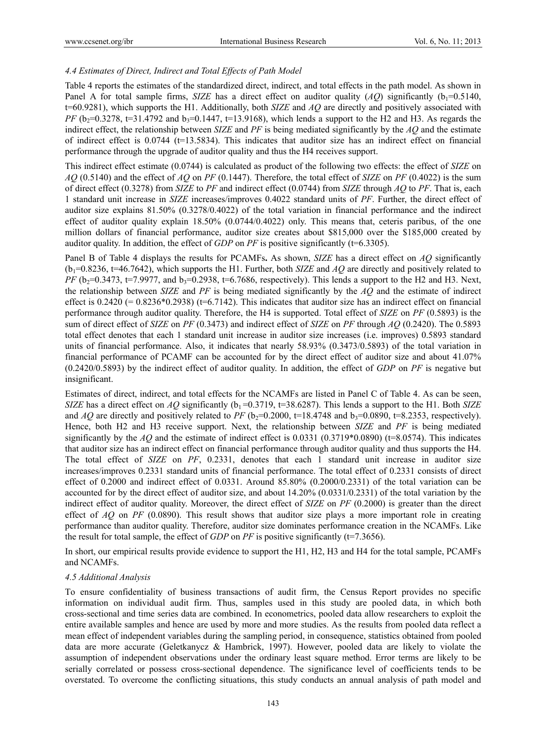# *4.4 Estimates of Direct, Indirect and Total Effects of Path Model*

Table 4 reports the estimates of the standardized direct, indirect, and total effects in the path model. As shown in Panel A for total sample firms, *SIZE* has a direct effect on auditor quality  $(AO)$  significantly ( $b_1=0.5140$ , t=60.9281), which supports the H1. Additionally, both *SIZE* and *AQ* are directly and positively associated with *PF* (b<sub>2</sub>=0.3278, t=31.4792 and b<sub>3</sub>=0.1447, t=13.9168), which lends a support to the H2 and H3. As regards the indirect effect, the relationship between *SIZE* and *PF* is being mediated significantly by the *AQ* and the estimate of indirect effect is 0.0744 (t=13.5834). This indicates that auditor size has an indirect effect on financial performance through the upgrade of auditor quality and thus the H4 receives support.

This indirect effect estimate (0.0744) is calculated as product of the following two effects: the effect of *SIZE* on *AQ* (0.5140) and the effect of *AQ* on *PF* (0.1447). Therefore, the total effect of *SIZE* on *PF* (0.4022) is the sum of direct effect (0.3278) from *SIZE* to *PF* and indirect effect (0.0744) from *SIZE* through *AQ* to *PF*. That is, each 1 standard unit increase in *SIZE* increases/improves 0.4022 standard units of *PF*. Further, the direct effect of auditor size explains 81.50% (0.3278/0.4022) of the total variation in financial performance and the indirect effect of auditor quality explain 18.50% (0.0744/0.4022) only. This means that, ceteris paribus, of the one million dollars of financial performance, auditor size creates about \$815,000 over the \$185,000 created by auditor quality. In addition, the effect of *GDP* on *PF* is positive significantly (t=6.3305).

Panel B of Table 4 displays the results for PCAMFs**.** As shown, *SIZE* has a direct effect on *AQ* significantly (b1=0.8236, t=46.7642), which supports the H1. Further, both *SIZE* and *AQ* are directly and positively related to *PF* ( $b_2$ =0.3473, t=7.9977, and  $b_3$ =0.2938, t=6.7686, respectively). This lends a support to the H2 and H3. Next, the relationship between *SIZE* and *PF* is being mediated significantly by the *AQ* and the estimate of indirect effect is  $0.2420$  (=  $0.8236*0.2938$ ) (t=6.7142). This indicates that auditor size has an indirect effect on financial performance through auditor quality. Therefore, the H4 is supported. Total effect of *SIZE* on *PF* (0.5893) is the sum of direct effect of *SIZE* on *PF* (0.3473) and indirect effect of *SIZE* on *PF* through *AQ* (0.2420). The 0.5893 total effect denotes that each 1 standard unit increase in auditor size increases (i.e. improves) 0.5893 standard units of financial performance. Also, it indicates that nearly 58.93% (0.3473/0.5893) of the total variation in financial performance of PCAMF can be accounted for by the direct effect of auditor size and about 41.07% (0.2420/0.5893) by the indirect effect of auditor quality. In addition, the effect of *GDP* on *PF* is negative but insignificant.

Estimates of direct, indirect, and total effects for the NCAMFs are listed in Panel C of Table 4. As can be seen, *SIZE* has a direct effect on *AO* significantly  $(b_1 = 0.3719, t=38.6287)$ . This lends a support to the H1. Both *SIZE* and *AQ* are directly and positively related to *PF* ( $b_2=0.2000$ ,  $t=18.4748$  and  $b_3=0.0890$ ,  $t=8.2353$ , respectively). Hence, both H2 and H3 receive support. Next, the relationship between *SIZE* and *PF* is being mediated significantly by the *AQ* and the estimate of indirect effect is  $0.0331 (0.3719*0.0890)$  (t=8.0574). This indicates that auditor size has an indirect effect on financial performance through auditor quality and thus supports the H4. The total effect of *SIZE* on *PF*, 0.2331, denotes that each 1 standard unit increase in auditor size increases/improves 0.2331 standard units of financial performance. The total effect of 0.2331 consists of direct effect of 0.2000 and indirect effect of 0.0331. Around 85.80% (0.2000/0.2331) of the total variation can be accounted for by the direct effect of auditor size, and about 14.20% (0.0331/0.2331) of the total variation by the indirect effect of auditor quality. Moreover, the direct effect of *SIZE* on *PF* (0.2000) is greater than the direct effect of *AQ* on *PF* (0.0890). This result shows that auditor size plays a more important role in creating performance than auditor quality. Therefore, auditor size dominates performance creation in the NCAMFs. Like the result for total sample, the effect of *GDP* on *PF* is positive significantly (t=7.3656).

In short, our empirical results provide evidence to support the H1, H2, H3 and H4 for the total sample, PCAMFs and NCAMFs.

#### *4.5 Additional Analysis*

To ensure confidentiality of business transactions of audit firm, the Census Report provides no specific information on individual audit firm. Thus, samples used in this study are pooled data, in which both cross-sectional and time series data are combined. In econometrics, pooled data allow researchers to exploit the entire available samples and hence are used by more and more studies. As the results from pooled data reflect a mean effect of independent variables during the sampling period, in consequence, statistics obtained from pooled data are more accurate (Geletkanycz & Hambrick, 1997). However, pooled data are likely to violate the assumption of independent observations under the ordinary least square method. Error terms are likely to be serially correlated or possess cross-sectional dependence. The significance level of coefficients tends to be overstated. To overcome the conflicting situations, this study conducts an annual analysis of path model and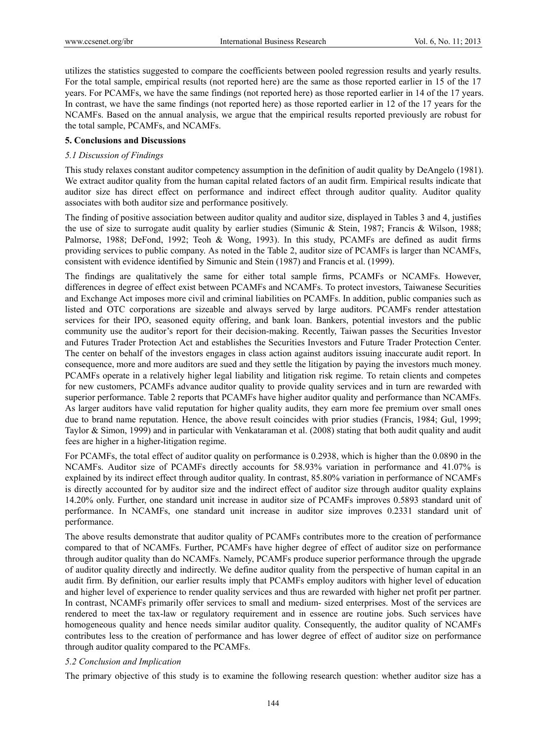utilizes the statistics suggested to compare the coefficients between pooled regression results and yearly results. For the total sample, empirical results (not reported here) are the same as those reported earlier in 15 of the 17 years. For PCAMFs, we have the same findings (not reported here) as those reported earlier in 14 of the 17 years. In contrast, we have the same findings (not reported here) as those reported earlier in 12 of the 17 years for the NCAMFs. Based on the annual analysis, we argue that the empirical results reported previously are robust for the total sample, PCAMFs, and NCAMFs.

## **5. Conclusions and Discussions**

# *5.1 Discussion of Findings*

This study relaxes constant auditor competency assumption in the definition of audit quality by DeAngelo (1981). We extract auditor quality from the human capital related factors of an audit firm. Empirical results indicate that auditor size has direct effect on performance and indirect effect through auditor quality. Auditor quality associates with both auditor size and performance positively.

The finding of positive association between auditor quality and auditor size, displayed in Tables 3 and 4, justifies the use of size to surrogate audit quality by earlier studies (Simunic & Stein, 1987; Francis & Wilson, 1988; Palmorse, 1988; DeFond, 1992; Teoh & Wong, 1993). In this study, PCAMFs are defined as audit firms providing services to public company. As noted in the Table 2, auditor size of PCAMFs is larger than NCAMFs, consistent with evidence identified by Simunic and Stein (1987) and Francis et al. (1999).

The findings are qualitatively the same for either total sample firms, PCAMFs or NCAMFs. However, differences in degree of effect exist between PCAMFs and NCAMFs. To protect investors, Taiwanese Securities and Exchange Act imposes more civil and criminal liabilities on PCAMFs. In addition, public companies such as listed and OTC corporations are sizeable and always served by large auditors. PCAMFs render attestation services for their IPO, seasoned equity offering, and bank loan. Bankers, potential investors and the public community use the auditor's report for their decision-making. Recently, Taiwan passes the Securities Investor and Futures Trader Protection Act and establishes the Securities Investors and Future Trader Protection Center. The center on behalf of the investors engages in class action against auditors issuing inaccurate audit report. In consequence, more and more auditors are sued and they settle the litigation by paying the investors much money. PCAMFs operate in a relatively higher legal liability and litigation risk regime. To retain clients and competes for new customers, PCAMFs advance auditor quality to provide quality services and in turn are rewarded with superior performance. Table 2 reports that PCAMFs have higher auditor quality and performance than NCAMFs. As larger auditors have valid reputation for higher quality audits, they earn more fee premium over small ones due to brand name reputation. Hence, the above result coincides with prior studies (Francis, 1984; Gul, 1999; Taylor & Simon, 1999) and in particular with Venkataraman et al. (2008) stating that both audit quality and audit fees are higher in a higher-litigation regime.

For PCAMFs, the total effect of auditor quality on performance is 0.2938, which is higher than the 0.0890 in the NCAMFs. Auditor size of PCAMFs directly accounts for 58.93% variation in performance and 41.07% is explained by its indirect effect through auditor quality. In contrast, 85.80% variation in performance of NCAMFs is directly accounted for by auditor size and the indirect effect of auditor size through auditor quality explains 14.20% only. Further, one standard unit increase in auditor size of PCAMFs improves 0.5893 standard unit of performance. In NCAMFs, one standard unit increase in auditor size improves 0.2331 standard unit of performance.

The above results demonstrate that auditor quality of PCAMFs contributes more to the creation of performance compared to that of NCAMFs. Further, PCAMFs have higher degree of effect of auditor size on performance through auditor quality than do NCAMFs. Namely, PCAMFs produce superior performance through the upgrade of auditor quality directly and indirectly. We define auditor quality from the perspective of human capital in an audit firm. By definition, our earlier results imply that PCAMFs employ auditors with higher level of education and higher level of experience to render quality services and thus are rewarded with higher net profit per partner. In contrast, NCAMFs primarily offer services to small and medium- sized enterprises. Most of the services are rendered to meet the tax-law or regulatory requirement and in essence are routine jobs. Such services have homogeneous quality and hence needs similar auditor quality. Consequently, the auditor quality of NCAMFs contributes less to the creation of performance and has lower degree of effect of auditor size on performance through auditor quality compared to the PCAMFs.

#### *5.2 Conclusion and Implication*

The primary objective of this study is to examine the following research question: whether auditor size has a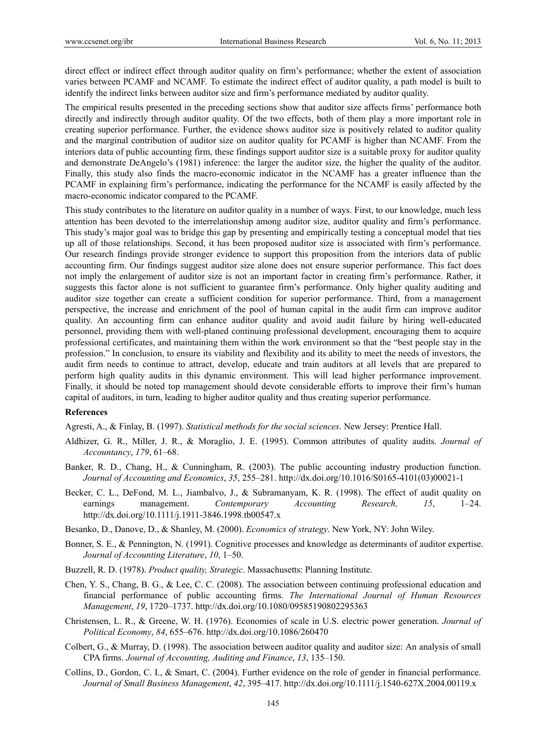direct effect or indirect effect through auditor quality on firm's performance; whether the extent of association varies between PCAMF and NCAMF. To estimate the indirect effect of auditor quality, a path model is built to identify the indirect links between auditor size and firm's performance mediated by auditor quality.

The empirical results presented in the preceding sections show that auditor size affects firms' performance both directly and indirectly through auditor quality. Of the two effects, both of them play a more important role in creating superior performance. Further, the evidence shows auditor size is positively related to auditor quality and the marginal contribution of auditor size on auditor quality for PCAMF is higher than NCAMF. From the interiors data of public accounting firm, these findings support auditor size is a suitable proxy for auditor quality and demonstrate DeAngelo's (1981) inference: the larger the auditor size, the higher the quality of the auditor. Finally, this study also finds the macro-economic indicator in the NCAMF has a greater influence than the PCAMF in explaining firm's performance, indicating the performance for the NCAMF is easily affected by the macro-economic indicator compared to the PCAMF.

This study contributes to the literature on auditor quality in a number of ways. First, to our knowledge, much less attention has been devoted to the interrelationship among auditor size, auditor quality and firm's performance. This study's major goal was to bridge this gap by presenting and empirically testing a conceptual model that ties up all of those relationships. Second, it has been proposed auditor size is associated with firm's performance. Our research findings provide stronger evidence to support this proposition from the interiors data of public accounting firm. Our findings suggest auditor size alone does not ensure superior performance. This fact does not imply the enlargement of auditor size is not an important factor in creating firm's performance. Rather, it suggests this factor alone is not sufficient to guarantee firm's performance. Only higher quality auditing and auditor size together can create a sufficient condition for superior performance. Third, from a management perspective, the increase and enrichment of the pool of human capital in the audit firm can improve auditor quality. An accounting firm can enhance auditor quality and avoid audit failure by hiring well-educated personnel, providing them with well-planed continuing professional development, encouraging them to acquire professional certificates, and maintaining them within the work environment so that the "best people stay in the profession." In conclusion, to ensure its viability and flexibility and its ability to meet the needs of investors, the audit firm needs to continue to attract, develop, educate and train auditors at all levels that are prepared to perform high quality audits in this dynamic environment. This will lead higher performance improvement. Finally, it should be noted top management should devote considerable efforts to improve their firm's human capital of auditors, in turn, leading to higher auditor quality and thus creating superior performance.

#### **References**

Agresti, A., & Finlay, B. (1997). *Statistical methods for the social sciences*. New Jersey: Prentice Hall.

- Aldhizer, G. R., Miller, J. R., & Moraglio, J. E. (1995). Common attributes of quality audits. *Journal of Accountancy*, *179*, 61–68.
- Banker, R. D., Chang, H., & Cunningham, R. (2003). The public accounting industry production function. *Journal of Accounting and Economics*, *35*, 255–281. http://dx.doi.org/10.1016/S0165-4101(03)00021-1
- Becker, C. L., DeFond, M. L., Jiambalvo, J., & Subramanyam, K. R. (1998). The effect of audit quality on earnings management. *Contemporary Accounting Research, 15*, 1–24. http://dx.doi.org/10.1111/j.1911-3846.1998.tb00547.x
- Besanko, D., Danove, D., & Shanley, M. (2000). *Economics of strategy*. New York, NY: John Wiley.
- Bonner, S. E., & Pennington, N. (1991). Cognitive processes and knowledge as determinants of auditor expertise. *Journal of Accounting Literature*, *10*, 1–50.
- Buzzell, R. D. (1978). *Product quality, Strategic*. Massachusetts: Planning Institute.
- Chen, Y. S., Chang, B. G., & Lee, C. C. (2008). The association between continuing professional education and financial performance of public accounting firms. *The International Journal of Human Resources Management*, *19*, 1720–1737. http://dx.doi.org/10.1080/09585190802295363
- Christensen, L. R., & Greene, W. H. (1976). Economies of scale in U.S. electric power generation. *Journal of Political Economy*, *84*, 655–676. http://dx.doi.org/10.1086/260470
- Colbert, G., & Murray, D. (1998). The association between auditor quality and auditor size: An analysis of small CPA firms. *Journal of Accounting, Auditing and Finance*, *13*, 135–150.
- Collins, D., Gordon, C. I., & Smart, C. (2004). Further evidence on the role of gender in financial performance. *Journal of Small Business Management*, *42*, 395–417. http://dx.doi.org/10.1111/j.1540-627X.2004.00119.x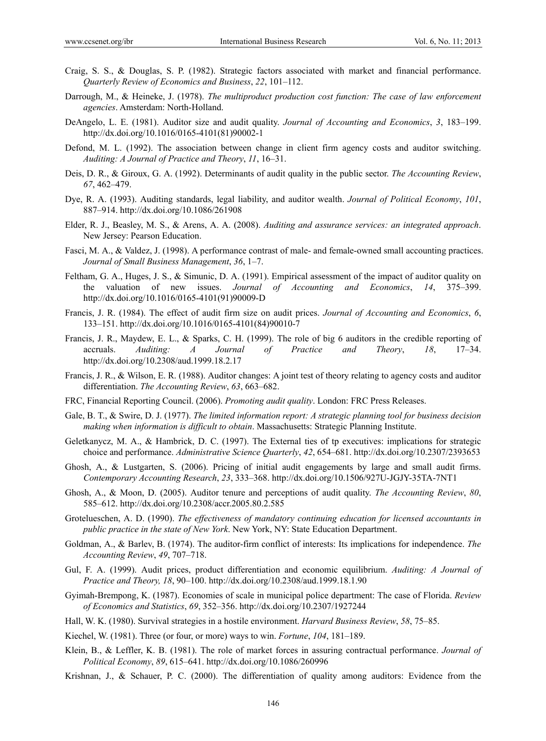- Craig, S. S., & Douglas, S. P. (1982). Strategic factors associated with market and financial performance. *Quarterly Review of Economics and Business*, *22*, 101–112.
- Darrough, M., & Heineke, J. (1978). *The multiproduct production cost function: The case of law enforcement agencies*. Amsterdam: North-Holland.
- DeAngelo, L. E. (1981). Auditor size and audit quality. *Journal of Accounting and Economics*, *3*, 183–199. http://dx.doi.org/10.1016/0165-4101(81)90002-1
- Defond, M. L. (1992). The association between change in client firm agency costs and auditor switching. *Auditing: A Journal of Practice and Theory*, *11*, 16–31.
- Deis, D. R., & Giroux, G. A. (1992). Determinants of audit quality in the public sector. *The Accounting Review*, *67*, 462–479.
- Dye, R. A. (1993). Auditing standards, legal liability, and auditor wealth. *Journal of Political Economy*, *101*, 887–914. http://dx.doi.org/10.1086/261908
- Elder, R. J., Beasley, M. S., & Arens, A. A. (2008). *Auditing and assurance services: an integrated approach*. New Jersey: Pearson Education.
- Fasci, M. A., & Valdez, J. (1998). A performance contrast of male- and female-owned small accounting practices. *Journal of Small Business Management*, *36*, 1–7.
- Feltham, G. A., Huges, J. S., & Simunic, D. A. (1991). Empirical assessment of the impact of auditor quality on the valuation of new issues. *Journal of Accounting and Economics*, *14*, 375–399. http://dx.doi.org/10.1016/0165-4101(91)90009-D
- Francis, J. R. (1984). The effect of audit firm size on audit prices. *Journal of Accounting and Economics*, *6*, 133–151. http://dx.doi.org/10.1016/0165-4101(84)90010-7
- Francis, J. R., Maydew, E. L., & Sparks, C. H. (1999). The role of big 6 auditors in the credible reporting of accruals. *Auditing: A Journal of Practice and Theory*, *18*, 17–34. http://dx.doi.org/10.2308/aud.1999.18.2.17
- Francis, J. R., & Wilson, E. R. (1988). Auditor changes: A joint test of theory relating to agency costs and auditor differentiation. *The Accounting Review*, *63*, 663–682.
- FRC, Financial Reporting Council. (2006). *Promoting audit quality*. London: FRC Press Releases.
- Gale, B. T., & Swire, D. J. (1977). *The limited information report: A strategic planning tool for business decision making when information is difficult to obtain*. Massachusetts: Strategic Planning Institute.
- Geletkanycz, M. A., & Hambrick, D. C. (1997). The External ties of tp executives: implications for strategic choice and performance. *Administrative Science Quarterly*, *42*, 654–681. http://dx.doi.org/10.2307/2393653
- Ghosh, A., & Lustgarten, S. (2006). Pricing of initial audit engagements by large and small audit firms. *Contemporary Accounting Research*, *23*, 333–368. http://dx.doi.org/10.1506/927U-JGJY-35TA-7NT1
- Ghosh, A., & Moon, D. (2005). Auditor tenure and perceptions of audit quality. *The Accounting Review*, *80*, 585–612. http://dx.doi.org/10.2308/accr.2005.80.2.585
- Grotelueschen, A. D. (1990). *The effectiveness of mandatory continuing education for licensed accountants in public practice in the state of New York*. New York, NY: State Education Department.
- Goldman, A., & Barlev, B. (1974). The auditor-firm conflict of interests: Its implications for independence. *The Accounting Review*, *49*, 707–718.
- Gul, F. A. (1999). Audit prices, product differentiation and economic equilibrium. *Auditing: A Journal of Practice and Theory, 18*, 90–100. http://dx.doi.org/10.2308/aud.1999.18.1.90
- Gyimah-Brempong, K. (1987). Economies of scale in municipal police department: The case of Florida. *Review of Economics and Statistics*, *69*, 352–356. http://dx.doi.org/10.2307/1927244
- Hall, W. K. (1980). Survival strategies in a hostile environment. *Harvard Business Review*, *58*, 75–85.
- Kiechel, W. (1981). Three (or four, or more) ways to win. *Fortune*, *104*, 181–189.
- Klein, B., & Leffler, K. B. (1981). The role of market forces in assuring contractual performance. *Journal of Political Economy*, *89*, 615–641. http://dx.doi.org/10.1086/260996
- Krishnan, J., & Schauer, P. C. (2000). The differentiation of quality among auditors: Evidence from the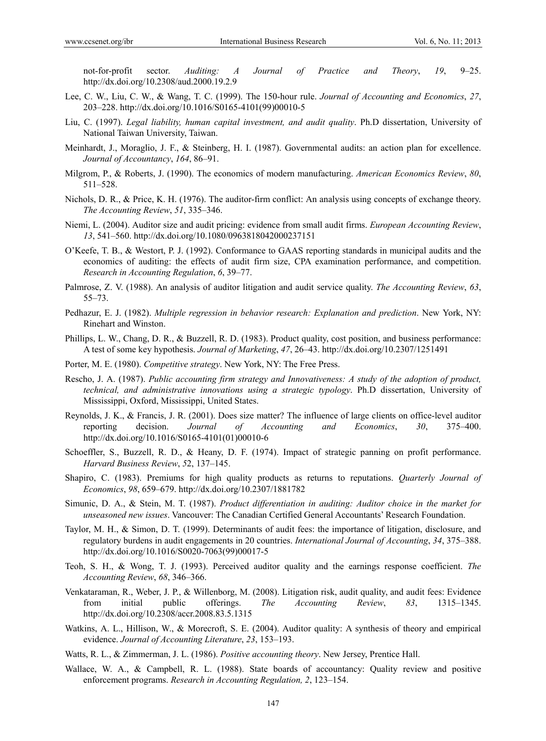not-for-profit sector. *Auditing: A Journal of Practice and Theory*, *19*, 9–25. http://dx.doi.org/10.2308/aud.2000.19.2.9

- Lee, C. W., Liu, C. W., & Wang, T. C. (1999). The 150-hour rule. *Journal of Accounting and Economics*, *27*, 203–228. http://dx.doi.org/10.1016/S0165-4101(99)00010-5
- Liu, C. (1997). *Legal liability, human capital investment, and audit quality*. Ph.D dissertation, University of National Taiwan University, Taiwan.
- Meinhardt, J., Moraglio, J. F., & Steinberg, H. I. (1987). Governmental audits: an action plan for excellence. *Journal of Accountancy*, *164*, 86–91.
- Milgrom, P., & Roberts, J. (1990). The economics of modern manufacturing. *American Economics Review*, *80*, 511–528.
- Nichols, D. R., & Price, K. H. (1976). The auditor-firm conflict: An analysis using concepts of exchange theory. *The Accounting Review*, *51*, 335–346.
- Niemi, L. (2004). Auditor size and audit pricing: evidence from small audit firms. *European Accounting Review*, *13*, 541–560. http://dx.doi.org/10.1080/0963818042000237151
- O'Keefe, T. B., & Westort, P. J. (1992). Conformance to GAAS reporting standards in municipal audits and the economics of auditing: the effects of audit firm size, CPA examination performance, and competition. *Research in Accounting Regulation*, *6*, 39–77.
- Palmrose, Z. V. (1988). An analysis of auditor litigation and audit service quality. *The Accounting Review*, *63*, 55–73.
- Pedhazur, E. J. (1982). *Multiple regression in behavior research: Explanation and prediction*. New York, NY: Rinehart and Winston.
- Phillips, L. W., Chang, D. R., & Buzzell, R. D. (1983). Product quality, cost position, and business performance: A test of some key hypothesis. *Journal of Marketing*, *47*, 26–43. http://dx.doi.org/10.2307/1251491
- Porter, M. E. (1980). *Competitive strategy*. New York, NY: The Free Press.
- Rescho, J. A. (1987). *Public accounting firm strategy and Innovativeness: A study of the adoption of product, technical, and administrative innovations using a strategic typology*. Ph.D dissertation, University of Mississippi, Oxford, Mississippi, United States.
- Reynolds, J. K., & Francis, J. R. (2001). Does size matter? The influence of large clients on office-level auditor reporting decision. *Journal of Accounting and Economics*, *30*, 375–400. http://dx.doi.org/10.1016/S0165-4101(01)00010-6
- Schoeffler, S., Buzzell, R. D., & Heany, D. F. (1974). Impact of strategic panning on profit performance. *Harvard Business Review*, *5*2, 137–145.
- Shapiro, C. (1983). Premiums for high quality products as returns to reputations. *Quarterly Journal of Economics*, *98*, 659–679. http://dx.doi.org/10.2307/1881782
- Simunic, D. A., & Stein, M. T. (1987). *Product differentiation in auditing: Auditor choice in the market for unseasoned new issues*. Vancouver: The Canadian Certified General Accountants' Research Foundation.
- Taylor, M. H., & Simon, D. T. (1999). Determinants of audit fees: the importance of litigation, disclosure, and regulatory burdens in audit engagements in 20 countries. *International Journal of Accounting*, *34*, 375–388. http://dx.doi.org/10.1016/S0020-7063(99)00017-5
- Teoh, S. H., & Wong, T. J. (1993). Perceived auditor quality and the earnings response coefficient. *The Accounting Review*, *68*, 346–366.
- Venkataraman, R., Weber, J. P., & Willenborg, M. (2008). Litigation risk, audit quality, and audit fees: Evidence from initial public offerings. *The Accounting Review*, *83*, 1315–1345. http://dx.doi.org/10.2308/accr.2008.83.5.1315
- Watkins, A. L., Hillison, W., & Morecroft, S. E. (2004). Auditor quality: A synthesis of theory and empirical evidence. *Journal of Accounting Literature*, *23*, 153–193.
- Watts, R. L., & Zimmerman, J. L. (1986). *Positive accounting theory*. New Jersey, Prentice Hall.
- Wallace, W. A., & Campbell, R. L. (1988). State boards of accountancy: Quality review and positive enforcement programs. *Research in Accounting Regulation, 2*, 123–154.